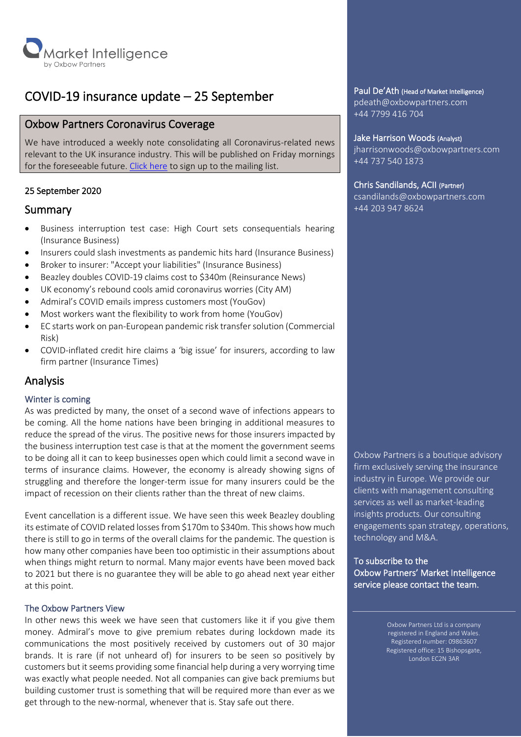

## COVID-19 insurance update – 25 September

## Oxbow Partners Coronavirus Coverage

We have introduced a weekly note consolidating all Coronavirus-related news relevant to the UK insurance industry. This will be published on Friday mornings for the foreseeable future. [Click here](http://oxbowpartners-7474208.hs-sites.com/subscribe-to-market-intelligence) to sign up to the mailing list.

## 25 September 2020

## Summary

- Business interruption test case: High Court sets consequentials hearing (Insurance Business)
- Insurers could slash investments as pandemic hits hard (Insurance Business)
- Broker to insurer: "Accept your liabilities" (Insurance Business)
- Beazley doubles COVID-19 claims cost to \$340m (Reinsurance News)
- UK economy's rebound cools amid coronavirus worries (City AM)
- Admiral's COVID emails impress customers most (YouGov)
- Most workers want the flexibility to work from home (YouGov)
- EC starts work on pan-European pandemic risk transfer solution (Commercial Risk)
- COVID-inflated credit hire claims a 'big issue' for insurers, according to law firm partner (Insurance Times)

## Analysis

#### Winter is coming

As was predicted by many, the onset of a second wave of infections appears to be coming. All the home nations have been bringing in additional measures to reduce the spread of the virus. The positive news for those insurers impacted by the business interruption test case is that at the moment the government seems to be doing all it can to keep businesses open which could limit a second wave in terms of insurance claims. However, the economy is already showing signs of struggling and therefore the longer-term issue for many insurers could be the impact of recession on their clients rather than the threat of new claims.

Event cancellation is a different issue. We have seen this week Beazley doubling its estimate of COVID related losses from \$170m to \$340m. This shows how much there is still to go in terms of the overall claims for the pandemic. The question is how many other companies have been too optimistic in their assumptions about when things might return to normal. Many major events have been moved back to 2021 but there is no guarantee they will be able to go ahead next year either at this point.

#### The Oxbow Partners View

In other news this week we have seen that customers like it if you give them money. Admiral's move to give premium rebates during lockdown made its communications the most positively received by customers out of 30 major brands. It is rare (if not unheard of) for insurers to be seen so positively by customers but it seems providing some financial help during a very worrying time was exactly what people needed. Not all companies can give back premiums but building customer trust is something that will be required more than ever as we get through to the new-normal, whenever that is. Stay safe out there.

#### Paul De'Ath (Head of Market Intelligence)

pdeath@oxbowpartners.com +44 7799 416 704

#### Jake Harrison Woods (Analyst)

jharrisonwoods@oxbowpartners.com +44 737 540 1873

#### Chris Sandilands, ACII (Partner)

csandilands@oxbowpartners.com +44 203 947 8624

Oxbow Partners is a boutique advisory firm exclusively serving the insurance industry in Europe. We provide our clients with management consulting services as well as market-leading insights products. Our consulting engagements span strategy, operations, technology and M&A.

To subscribe to the Oxbow Partners' Market Intelligence service please contact the team.

> Oxbow Partners Ltd is a company registered in England and Wales. Registered number: 09863607 Registered office: 15 Bishopsgate, London EC2N 3AR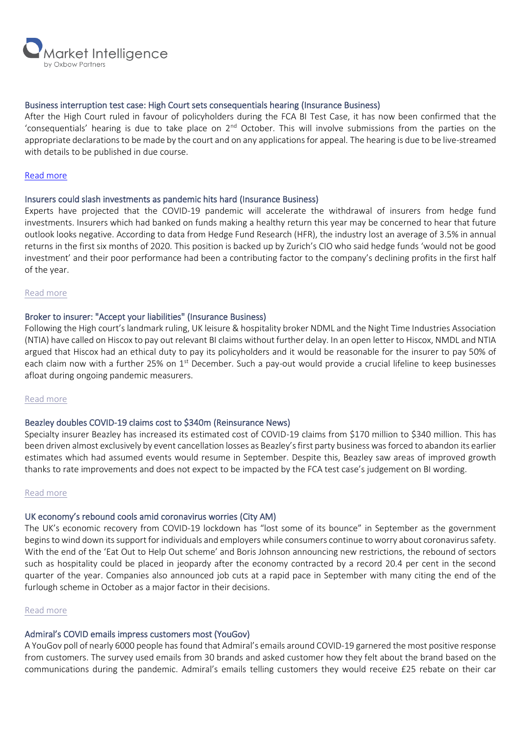

#### Business interruption test case: High Court sets consequentials hearing (Insurance Business)

After the High Court ruled in favour of policyholders during the FCA BI Test Case, it has now been confirmed that the 'consequentials' hearing is due to take place on 2<sup>nd</sup> October. This will involve submissions from the parties on the appropriate declarations to be made by the court and on any applications for appeal. The hearing is due to be live-streamed with details to be published in due course.

#### [Read more](https://www.insurancebusinessmag.com/uk/news/breaking-news/fca-confirms-livestreamed-hearing-in-business-interruption-test-case-225305.aspx)

#### Insurers could slash investments as pandemic hits hard (Insurance Business)

Experts have projected that the COVID-19 pandemic will accelerate the withdrawal of insurers from hedge fund investments. Insurers which had banked on funds making a healthy return this year may be concerned to hear that future outlook looks negative. According to data from Hedge Fund Research (HFR), the industry lost an average of 3.5% in annual returns in the first six months of 2020. This position is backed up by Zurich's CIO who said hedge funds 'would not be good investment' and their poor performance had been a contributing factor to the company's declining profits in the first half of the year.

#### [Read more](https://www.insurancebusinessmag.com/uk/news/breaking-news/insurers-could-slash-investments-as-pandemic-hits-hard--report-234405.aspx)

#### Broker to insurer: "Accept your liabilities" (Insurance Business)

Following the High court's landmark ruling, UK leisure & hospitality broker NDML and the Night Time Industries Association (NTIA) have called on Hiscox to pay out relevant BI claims without further delay. In an open letter to Hiscox, NMDL and NTIA argued that Hiscox had an ethical duty to pay its policyholders and it would be reasonable for the insurer to pay 50% of each claim now with a further 25% on  $1<sup>st</sup>$  December. Such a pay-out would provide a crucial lifeline to keep businesses afloat during ongoing pandemic measurers.

#### [Read more](https://www.insurancebusinessmag.com/uk/news/hospitality/broker-to-insurer-accept-your-liabilities-234510.aspx)

#### Beazley doubles COVID-19 claims cost to \$340m (Reinsurance News)

Specialty insurer Beazley has increased its estimated cost of COVID-19 claims from \$170 million to \$340 million. This has been driven almost exclusively by event cancellation losses as Beazley's first party business was forced to abandon its earlier estimates which had assumed events would resume in September. Despite this, Beazley saw areas of improved growth thanks to rate improvements and does not expect to be impacted by the FCA test case's judgement on BI wording.

#### [Read more](https://www.reinsurancene.ws/beazley-doubles-covid-19-claims-cost-to-340mn/)

#### UK economy's rebound cools amid coronavirus worries (City AM)

The UK's economic recovery from COVID-19 lockdown has "lost some of its bounce" in September as the government begins to wind down its support for individuals and employers while consumers continue to worry about coronavirus safety. With the end of the 'Eat Out to Help Out scheme' and Boris Johnson announcing new restrictions, the rebound of sectors such as hospitality could be placed in jeopardy after the economy contracted by a record 20.4 per cent in the second quarter of the year. Companies also announced job cuts at a rapid pace in September with many citing the end of the furlough scheme in October as a major factor in their decisions.

#### [Read more](https://www.cityam.com/uk-economys-recovery-loses-momentum-amid-coronavirus-worries/?utm_source=slipcase&utm_medium=affiliate&utm_campaign=slipcase)

## Admiral's COVID emails impress customers most (YouGov)

A YouGov poll of nearly 6000 people has found that Admiral's emails around COVID-19 garnered the most positive response from customers. The survey used emails from 30 brands and asked customer how they felt about the brand based on the communications during the pandemic. Admiral's emails telling customers they would receive £25 rebate on their car